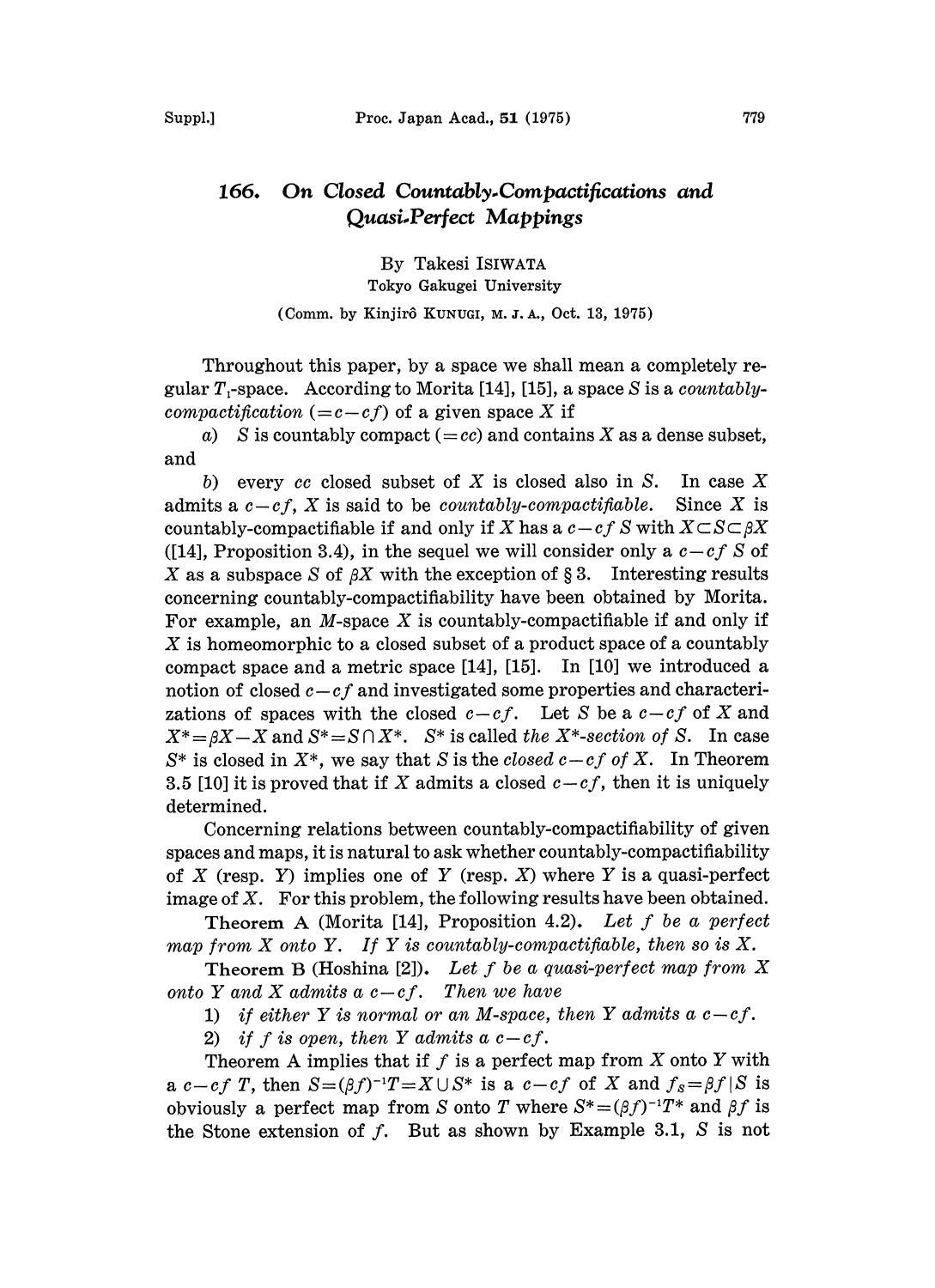## 166. On Closed Countably.Compactifications and Quasi.Perfect Mappings

By Takesi ISIWATA Tokyo Gakugei University (Comm. by Kinjirô KUNUGI, M. J. A., Oct. 13, 1975)

Throughout this paper, by a space we shall mean a completely regular  $T_1$ -space. According to Morita [14], [15], a space S is a countablycompactification  $(=c-cf)$  of a given space X if

a) S is countably compact  $(=cc)$  and contains X as a dense subset, and

b) every cc closed subset of X is closed also in S. In case X admits a  $c-cf$ , X is said to be *countably-compactifiable*. Since X is countably-compactifiable if and only if X has a  $c-cf S$  with  $X\subset S\subset \beta X$ ([14], Proposition 3.4), in the sequel we will consider only a  $c-cf S$  of X as a subspace S of  $\beta X$  with the exception of § 3. Interesting results concerning countably-compactifiability have been obtained by Morita. For example, an  $M$ -space  $X$  is countably-compactifiable if and only if X is homeomorphic to <sup>a</sup> closed subset of <sup>a</sup> product space of <sup>a</sup> countably compact space and a metric space [14], [15]. In [10] we introduced a notion of closed  $c-cf$  and investigated some properties and characterizations of spaces with the closed  $c-cf$ . Let S be a  $c-cf$  of X and  $X^* = \beta X - X$  and  $S^* = S \cap X^*$ .  $S^*$  is called the X<sup>\*</sup>-section of S. In case  $S^*$  is closed in  $X^*$ , we say that S is the closed  $c-cf$  of X. In Theorem 3.5 [10] it is proved that if X admits a closed  $c-cf$ , then it is uniquely determined.

Concerning relations between countably-compactifiability of given spaces and maps, it is natural to ask whether countably-compactifiability of X (resp. Y) implies one of Y (resp. X) where Y is a quasi-perfect image of  $X$ . For this problem, the following results have been obtained.

Theorem A (Morita [14], Proposition 4.2). Let  $f$  be a perfect map from  $X$  onto  $Y$ . If  $Y$  is countably-compactifiable, then so is  $X$ .

Theorem B (Hoshina [2]). Let  $f$  be a quasi-perfect map from  $X$ onto Y and X admits a  $c-cf$ . Then we have

1) if either Y is normal or an M-space, then Y admits a  $c-cf$ .

2) if f is open, then Y admits a  $c-c$ f.

Theorem A implies that if  $f$  is a perfect map from  $X$  onto  $Y$  with a  $c-cf$  T, then  $S=(\beta f)^{-1}T=X\cup S^*$  is a  $c-cf$  of X and  $f_s=\beta f|S$  is obviously a perfect map from S onto T where  $S^*=(\beta f)^{-1}T^*$  and  $\beta f$  is the Stone extension of  $f$ . But as shown by Example 3.1,  $S$  is not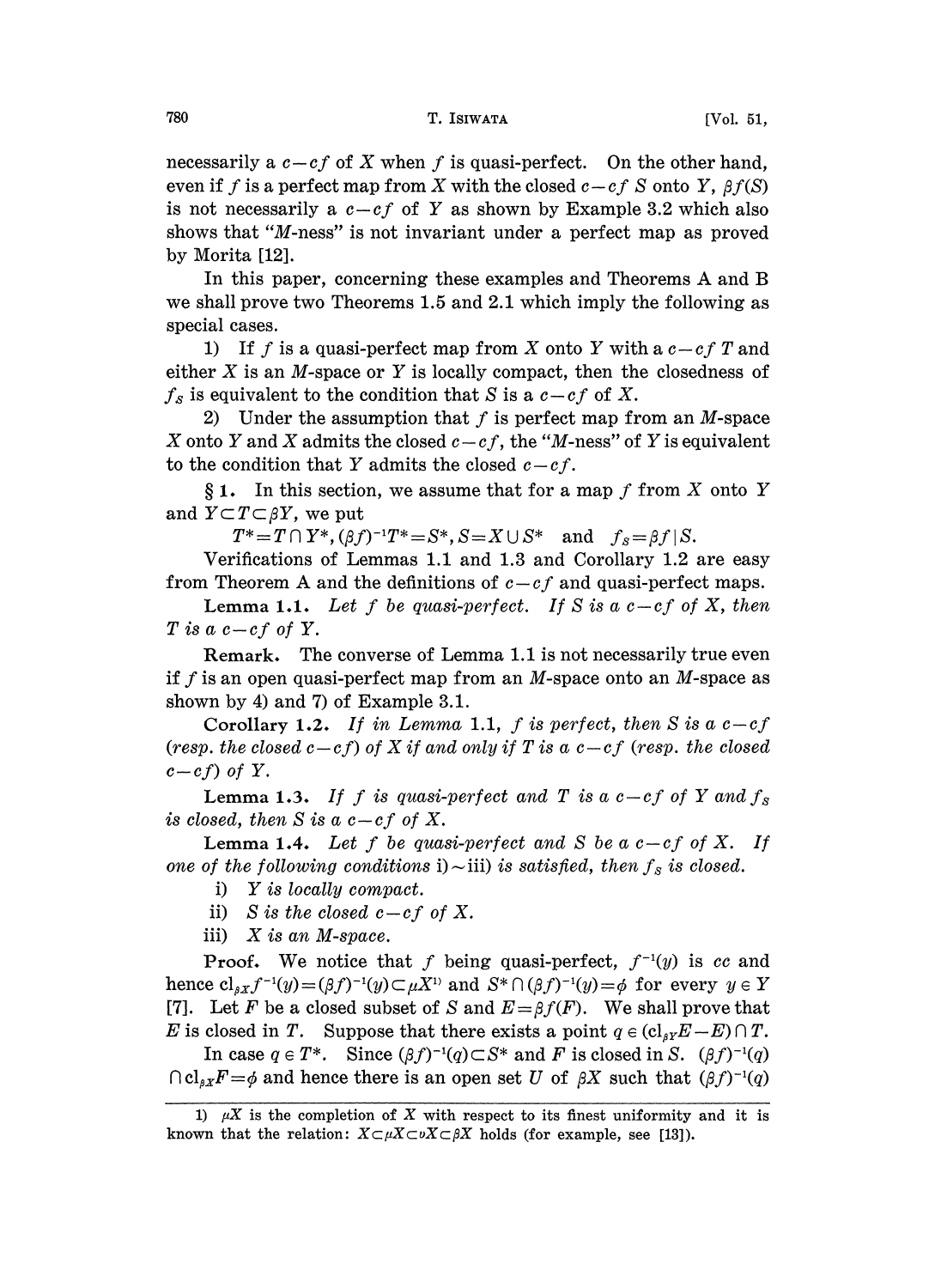necessarily a  $c-cf$  of X when f is quasi-perfect. On the other hand, even if f is a perfect map from X with the closed  $c-cf S$  onto Y,  $\beta f(S)$ is not necessarily a  $c-cf$  of Y as shown by Example 3.2 which also shows that "M-ness" is not invariant under a perfect map as proved by Morita [12].

In this paper, concerning these examples and Theorems A and B we shall prove two Theorems 1.5 and 2.1 which imply the following as special cases.

1) If f is a quasi-perfect map from X onto Y with a  $c-c$  T and either  $X$  is an M-space or  $Y$  is locally compact, then the closedness of  $f_s$  is equivalent to the condition that S is a  $c-cf$  of X.

2) Under the assumption that  $f$  is perfect map from an  $M$ -space X onto Y and X admits the closed  $c-cf$ , the "M-ness" of Y is equivalent to the condition that Y admits the closed  $c-cf$ .

 $§ 1.$  In this section, we assume that for a map f from X onto Y and  $Y \subset T \subset \beta Y$ , we put

 $T^*=T\cap Y^*,(\beta f)^{-1}T^*=S^*,S=X\cup S^* \text{ and } f_s=\beta f\,|S.$ 

Verifications of Lemmas 1.1 and 1.3 and Corollary 1.2 are easy from Theorem A and the definitions of  $c-cf$  and quasi-perfect maps.

**Lemma 1.1.** Let f be quasi-perfect. If S is a  $c-c$  of X, then T is a  $c-cf$  of Y.

Remark. The converse of Lemma 1.1 is not necessarily true even if f is an open quasi-perfect map from an M-space onto an M-space as shown by 4) and 7) of Example 3.1.

Corollary 1.2. If in Lemma 1.1, f is perfect, then S is a  $c-cf$ (resp. the closed  $c-cf$ ) of X if and only if T is a  $c-cf$  (resp. the closed  $c-cf$ ) of Y.

**Lemma 1.3.** If f is quasi-perfect and T is a  $c-cf$  of Y and  $f_s$ is closed, then S is a  $c-cf$  of X.

**Lemma 1.4.** Let f be quasi-perfect and S be a  $c-c$  of X. If one of the following conditions i)  $\sim$  iii) is satisfied, then  $f_s$  is closed.

i) Y is locally compact.

ii) S is the closed  $c-cf$  of X.

iii) X is an M-space.

**Proof.** We notice that f being quasi-perfect,  $f^{-1}(y)$  is cc and hence  $cl_{\beta X}f^{-1}(y)=(\beta f)^{-1}(y)\subset \mu X^{1}$  and  $S^*\cap (\beta f)^{-1}(y)=\phi$  for every  $y\in Y$ [7]. Let F be a closed subset of S and  $E = \beta f(F)$ . We shall prove that E is closed in T. Suppose that there exists a point  $q \in (cl_{sY}E-E) \cap T$ .

In case  $q \in T^*$ . Since  $(\beta f)^{-1}(q) \subset S^*$  and F is closed in S.  $(\beta f)^{-1}(q)$  $\bigcap cl_{\beta X}F=\phi$  and hence there is an open set U of  $\beta X$  such that  $(\beta f)^{-1}(q)$ 

<sup>1)</sup>  $\mu X$  is the completion of X with respect to its finest uniformity and it is known that the relation:  $X \subset \mu X \subset \nu X \subset \beta X$  holds (for example, see [13]).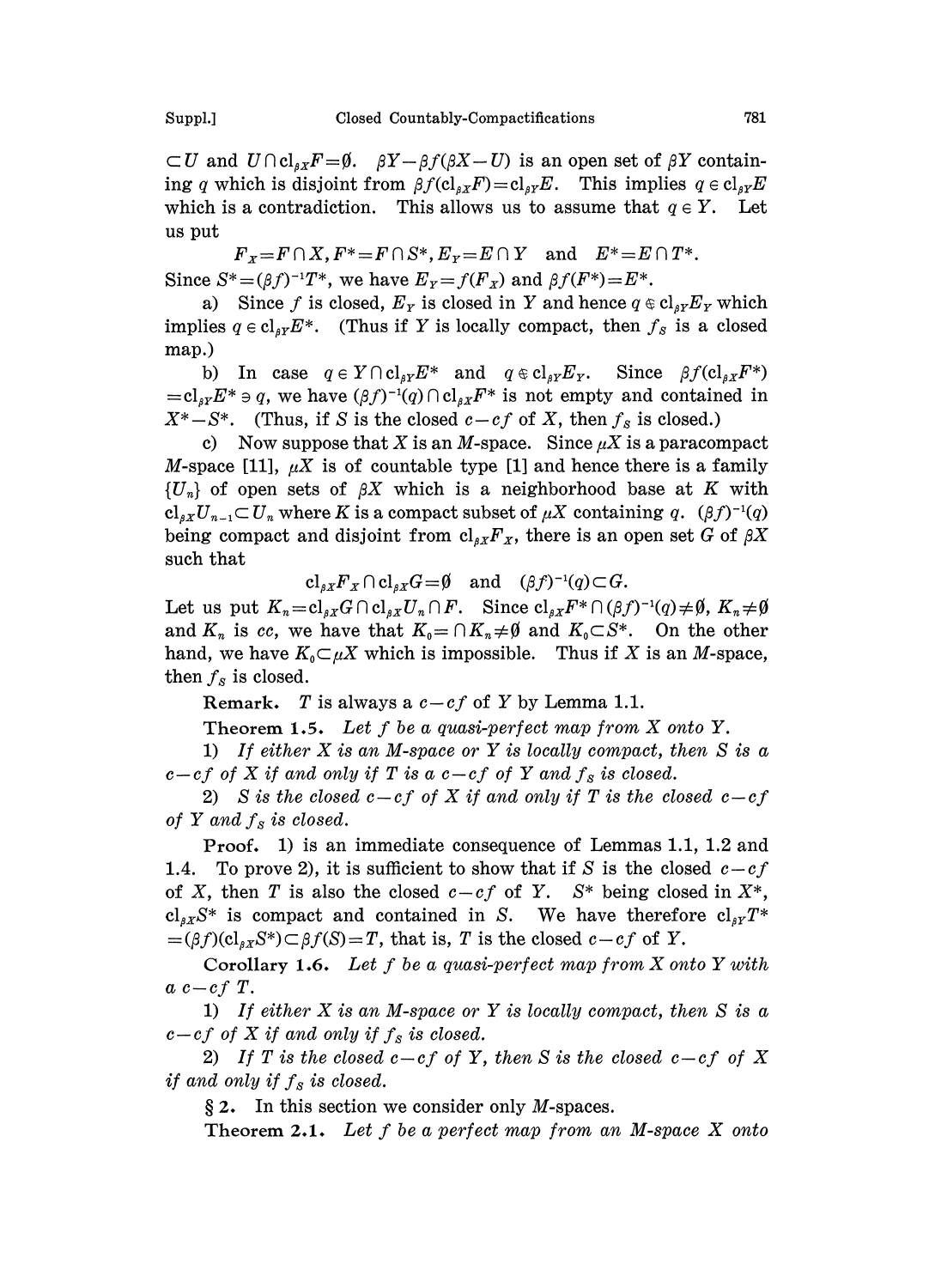$\subset U$  and  $U \cap cl_{\alpha x} F = \emptyset$ .  $\beta Y - \beta f(\beta X - U)$  is an open set of  $\beta Y$  containing q which is disjoint from  $\beta f(c_l_{\beta X}F)=c_l_{\beta Y}E$ . This implies  $q \in c_l_{\beta Y}E$ which is a contradiction. This allows us to assume that  $q \in Y$ . Let us put

 $F_x=F\cap X, F^*=F\cap S^*, E_y=E\cap Y$  and  $E^*=E\cap T^*.$ Since  $S^*=(\beta f)^{-1}T^*$ , we have  $E_Y=f(F_X)$  and  $\beta f(F^*)=E^*$ .

a) Since f is closed,  $E_Y$  is closed in Y and hence  $q \in cl_{\beta Y} E_Y$  which implies  $q \in \text{cl}_{\beta Y} E^*$ . (Thus if Y is locally compact, then  $f_s$  is a closed map.)

b) In case  $q \in Y \cap cl_{\beta Y} E^*$  and  $q \in cl_{\beta Y} E_Y$ . Since  $\beta f(cl_{\beta X} F^*)$  $=cl_{\beta Y}E^* \ni q$ , we have  $(\beta f)^{-1}(q) \cap cl_{\beta Y}F^*$  is not empty and contained in  $X^*-S^*$ . (Thus, if S is the closed  $c-cf$  of X, then  $f_s$  is closed.)

c) Now suppose that X is an M-space. Since  $\mu X$  is a paracompact *M*-space [11],  $\mu X$  is of countable type [1] and hence there is a family  ${U<sub>n</sub>}$  of open sets of  $\beta X$  which is a neighborhood base at K with  $cl_{\beta X}U_{n-1} \subset U_n$  where K is a compact subset of  $\mu X$  containing q.  $(\beta f)^{-1}(q)$ being compact and disjoint from  $\text{cl}_{\beta X}F_X$ , there is an open set G of  $\beta X$ such that

 $cl_{sX}F_{X} \cap cl_{sX}G = \emptyset$  and  $(\beta f)^{-1}(q) \subset G$ .

Let us put  $K_n = cl_{\beta X} G \cap cl_{\beta X} U_n \cap F$ . Since  $cl_{\beta X} F^* \cap (\beta f)^{-1}(q) \neq \emptyset$ ,  $K_n \neq \emptyset$ and  $K_n$  is cc, we have that  $K_0=\bigcap K_n\neq\emptyset$  and  $K_0\subset S^*$ . On the other hand, we have  $K_0 \subset \mu X$  which is impossible. Thus if X is an M-space, then  $f_s$  is closed.

Remark. T is always a  $c-cf$  of Y by Lemma 1.1.

Theorem 1.5. Let  $f$  be a quasi-perfect map from  $X$  onto  $Y$ .

1) If either  $X$  is an M-space or  $Y$  is locally compact, then  $S$  is a  $c-cf$  of X if and only if T is a  $c-cf$  of Y and  $f_s$  is closed.

2) S is the closed  $c-cf$  of X if and only if T is the closed  $c-cf$ of Y and  $f_s$  is closed.

Proof. 1) is an immediate consequence of Lemmas 1.1, 1.2 and 1.4. To prove 2), it is sufficient to show that if S is the closed  $c-cf$ of X, then T is also the closed  $c-cf$  of Y.  $S^*$  being closed in  $X^*$ ,  $cl_{\beta X}S^*$  is compact and contained in S. We have therefore  $cl_{\beta Y}T^*$  $=(\beta f)(\mathrm{cl}_{\beta X}S^*)\subset \beta f(S)=T$ , that is, T is the closed  $c-cf$  of Y.

Corollary 1.6. Let f be a quasi-perfect map from  $X$  onto  $Y$  with  $a\ c-cf\ T.$ 

1) If either  $X$  is an M-space or  $Y$  is locally compact, then  $S$  is a  $c-cf$  of X if and only if  $f_s$  is closed.

2) If T is the closed  $c-cf$  of Y, then S is the closed  $c-cf$  of X if and only if  $f_s$  is closed.

 $\S 2$ . In this section we consider only *M*-spaces.

Theorem 2.1. Let  $f$  be a perfect map from an M-space  $X$  onto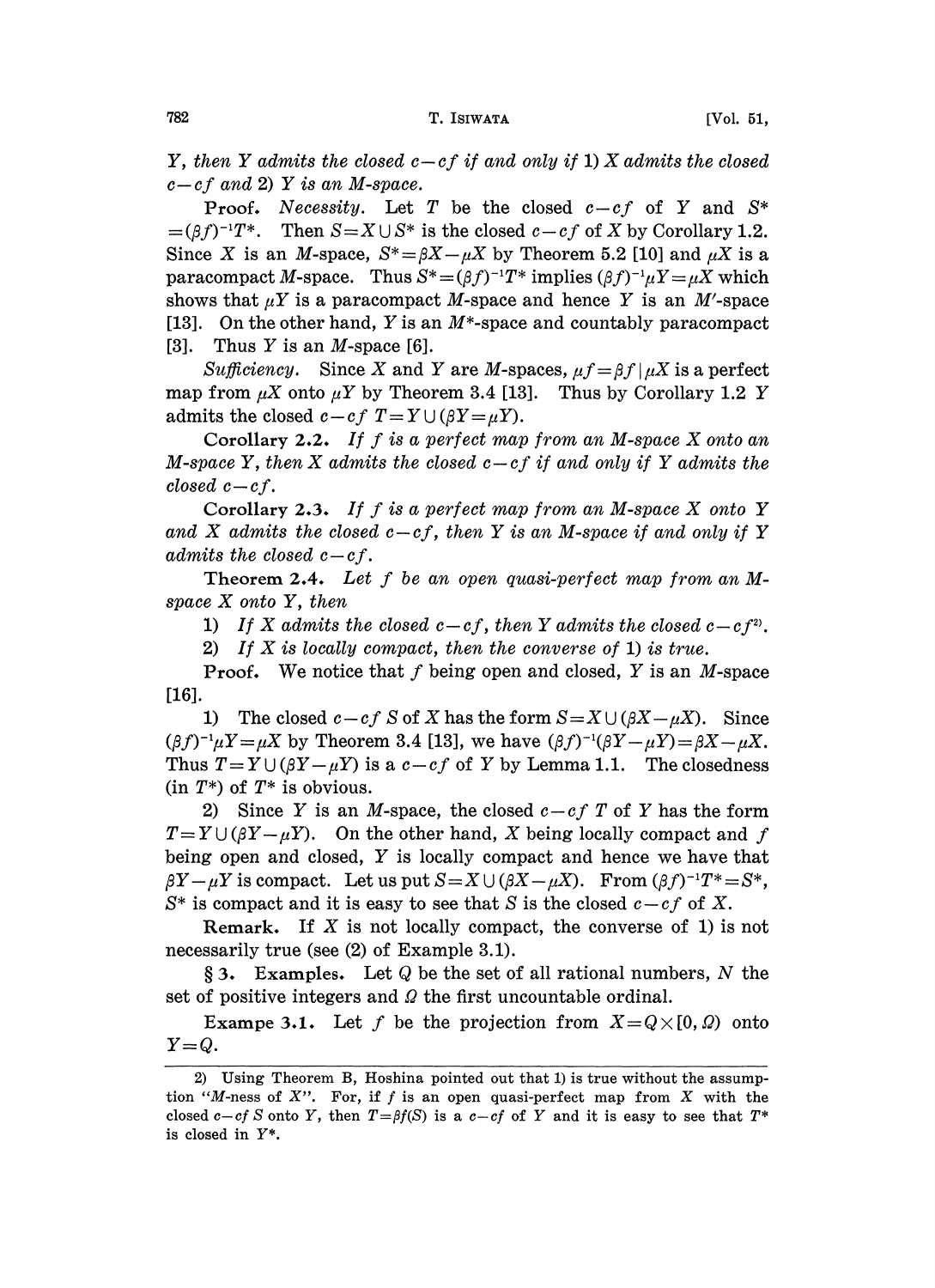Y, then Y admits the closed  $c-cf$  if and only if 1) X admits the closed  $c-cf$  and 2) Y is an M-space.

**Proof.** Necessity. Let T be the closed  $c-cf$  of Y and  $S^*$  $=(\beta f)^{-1}T^*$ . Then  $S=X\cup S^*$  is the closed  $c-cf$  of X by Corollary 1.2. Since X is an M-space,  $S^* = \beta X - \mu X$  by Theorem 5.2 [10] and  $\mu X$  is a paracompact M-space. Thus  $S^*=(\beta f)^{-1}T^*$  implies  $(\beta f)^{-1}\mu Y=\mu X$  which shows that  $\mu Y$  is a paracompact M-space and hence Y is an M'-space [13]. On the other hand, Y is an  $M^*$ -space and countably paracompact [3]. Thus Y is an M-space [6].

Sufficiency. Since X and Y are M-spaces,  $\mu f = \beta f / \mu X$  is a perfect map from  $\mu X$  onto  $\mu Y$  by Theorem 3.4 [13]. Thus by Corollary 1.2 Y admits the closed  $c-cf$   $T=Y\cup(\beta Y=\mu Y)$ .

Corollary 2.2. If f is <sup>a</sup> perfect map from an M-space X onto an M-space Y, then X admits the closed  $c-cf$  if and only if Y admits the closed  $c-cf$ .

Corollary 2.3. If f is a perfect map from an M-space  $X$  onto  $Y$ and X admits the closed  $c-cf$ , then Y is an M-space if and only if Y admits the closed  $c-cf$ .

Theorem 2.4. Let f be an open quasi-perfect map from an Mspace X onto Y, then

1) If X admits the closed  $c-cf$ , then Y admits the closed  $c-cf^2$ .

2) If X is locally compact, then the converse of 1) is true.

**Proof.** We notice that f being open and closed, Y is an M-space [16].

1) The closed  $c-cf S$  of X has the form  $S=X\cup (\beta X-\mu X)$ . Since  $(\beta f)^{-1}\mu Y = \mu X$  by Theorem 3.4 [13], we have  $(\beta f)^{-1}(\beta Y - \mu Y) = \beta X - \mu X$ . Thus  $T = Y \cup (\beta Y - \mu Y)$  is a  $c - cf$  of Y by Lemma 1.1. The closedness  $(in T^*)$  of  $T^*$  is obvious.

2) Since Y is an M-space, the closed  $c-cf$  T of Y has the form  $T = Y \cup (\beta Y - \mu Y)$ . On the other hand, X being locally compact and f being open and closed, Y is locally compact and hence we have that  $\beta Y-\mu Y$  is compact. Let us put  $S = X \cup (\beta X-\mu X)$ . From  $(\beta f)^{-1}T^* = S^*$ ,  $S^*$  is compact and it is easy to see that S is the closed  $c-cf$  of X.

Remark. If  $X$  is not locally compact, the converse of 1) is not necessarily true (see (2) of Example 3.1).

 $\S$  3. Examples. Let Q be the set of all rational numbers, N the set of positive integers and  $\Omega$  the first uncountable ordinal.

**Exampe 3.1.** Let f be the projection from  $X=Q\times[0,0)$  onto  $Y=Q$ .

<sup>2)</sup> Using Theorem B, Hoshina pointed out that 1) is true without the assumption "M-ness of  $X$ ". For, if f is an open quasi-perfect map from  $X$  with the closed c-cf S onto Y, then  $T = \beta f(S)$  is a c-cf of Y and it is easy to see that  $T^*$ is closed in Y\*.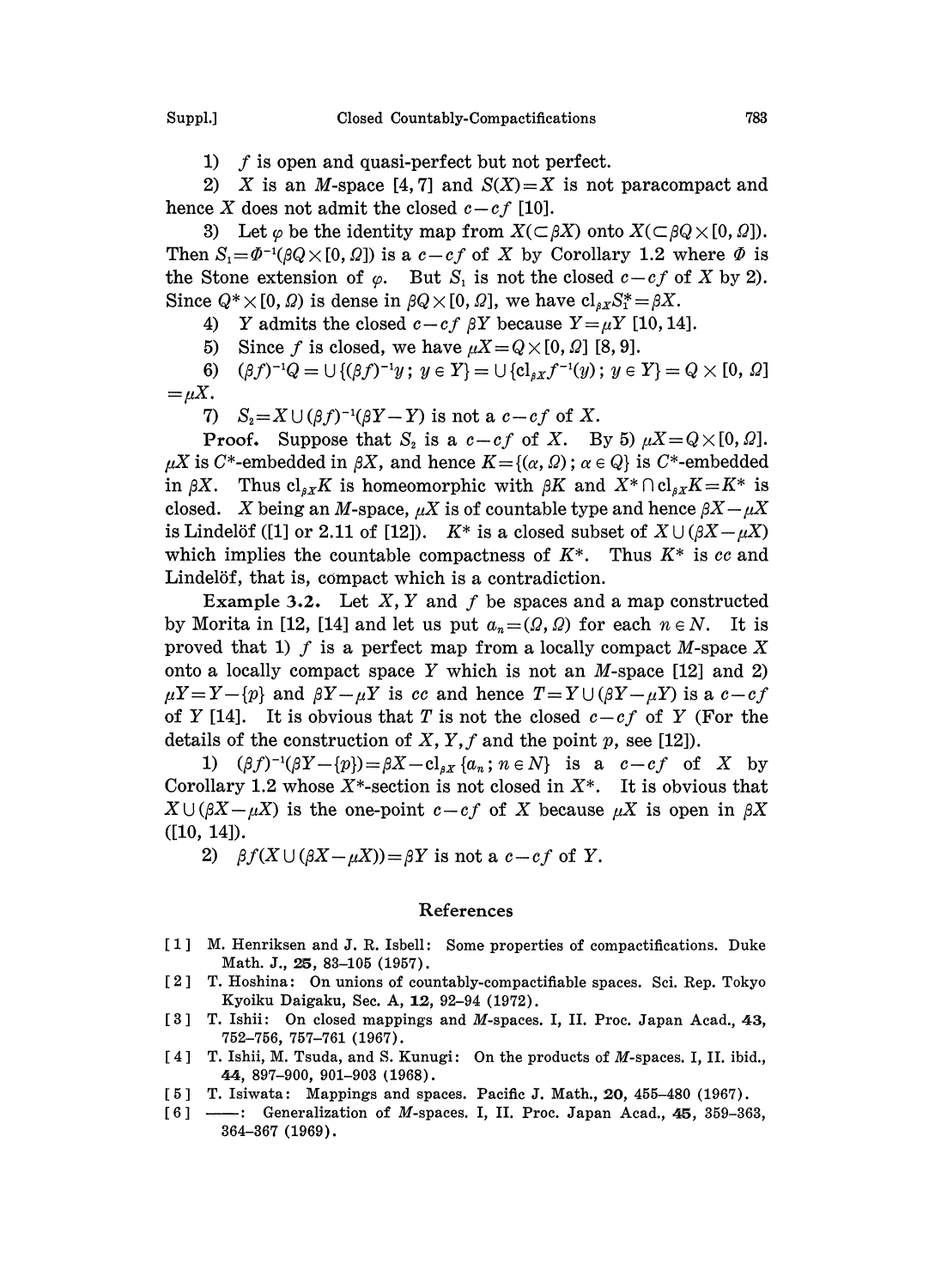2) X is an M-space [4,7] and  $S(X)=X$  is not paracompact and hence X does not admit the closed  $c-cf$  [10].

3) Let  $\varphi$  be the identity map from  $X(\subset \beta X)$  onto  $X(\subset \beta Q \times [0, \Omega])$ . Then  $S_1 = \Phi^{-1}(\beta Q \times [0, \Omega])$  is a  $c - cf$  of X by Corollary 1.2 where  $\Phi$  is the Stone extension of  $\varphi$ . But  $S_1$  is not the closed  $c-cf$  of X by 2). Since  $Q^* \times [0, \Omega)$  is dense in  $\beta Q \times [0, \Omega]$ , we have  $cl_{\beta X}S^* = \beta X$ .

- 4) Y admits the closed  $c-cf$   $\beta Y$  because  $Y=\mu Y$  [10, 14].
- 5) Since f is closed, we have  $\mu X = Q \times [0, \Omega]$  [8, 9].

 $(\beta f)^{-1}Q = \bigcup \{(\beta f)^{-1}y \, ; \, y \in Y\} = \bigcup \{\text{cl}_{\beta X}f^{-1}(y) \, ; \, y \in Y\} = Q \times [0,0]$ 6)  $=\mu X.$ 

7)  $S_2 = X \cup (\beta f)^{-1}(\beta Y - Y)$  is not a  $c - cf$  of X.

**Proof.** Suppose that  $S_2$  is a  $c-cf$  of X. By 5)  $\mu X = Q \times [0, \Omega]$ .  $\mu X$  is C\*-embedded in  $\beta X$ , and hence  $K = \{(\alpha, \Omega) : \alpha \in Q\}$  is C\*-embedded in  $\beta X$ . Thus  $\mathrm{cl}_{\beta X} K$  is homeomorphic with  $\beta K$  and  $X^* \cap \mathrm{cl}_{\beta X} K = K^*$  is closed. X being an M-space,  $\mu X$  is of countable type and hence  $\beta X-\mu X$ is Lindelöf ([1] or 2.11 of [12]).  $K^*$  is a closed subset of  $X \cup (\beta X - \mu X)$ which implies the countable compactness of  $K^*$ . Thus  $K^*$  is cc and Lindelöf, that is, compact which is a contradiction.

Example 3.2. Let  $X, Y$  and  $f$  be spaces and a map constructed by Morita in [12, [14] and let us put  $a_n = (Q, Q)$  for each  $n \in N$ . It is proved that 1) f is a perfect map from a locally compact  $M$ -space X onto a locally compact space Y which is not an  $M$ -space [12] and 2)  $\mu Y = Y - \{p\}$  and  $\beta Y - \mu Y$  is cc and hence  $T = Y \cup (\beta Y - \mu Y)$  is a c-cf of Y [14]. It is obvious that T is not the closed  $c-c f$  of Y (For the details of the construction of X, Y, f and the point p, see [12]).

1)  $(\beta f)^{-1}(\beta Y - \{p\}) = \beta X - \mathbf{cl}_{\beta X} \{a_n : n \in N\}$  is a  $c - c f$  of X by Corollary 1.2 whose  $X^*$ -section is not closed in  $X^*$ . It is obvious that  $X \cup (\beta X - \mu X)$  is the one-point  $c - cf$  of X because  $\mu X$  is open in  $\beta X$ ([10, 14]).

2)  $\beta f(X \cup (\beta X - \mu X)) = \beta Y$  is not a  $c - cf$  of Y.

## References

- [1] M. Henriksen and J. R. Isbell: Some properties of compactifications. Duke Math. J., 25, 83-105 (1957).
- [2] T. Hoshina: On unions of countably-compactifiable spaces. Sci. Rep. Tokyo Kyoiku Daigaku, Sec. A, 12, 92-94 (1972).
- [3] T. Ishii: On closed mappings and M-spaces. I, II. Proc. Japan Acad., 43, 752-756, 757-761 (1967).
- [4] T. Ishii, M. Tsuda, and S. Kunugi: On the products of M-spaces. I, II. ibid., 4.4, 897-900, 901-903 (1968).
- [5] T. Isiwata: Mappings and spaces. Pacific J. Math., 20, 455–480 (1967).
- $[6]$  -- : Generalization of M-spaces. I, II. Proc. Japan Acad., 45, 359-363, 364-367 (1969).